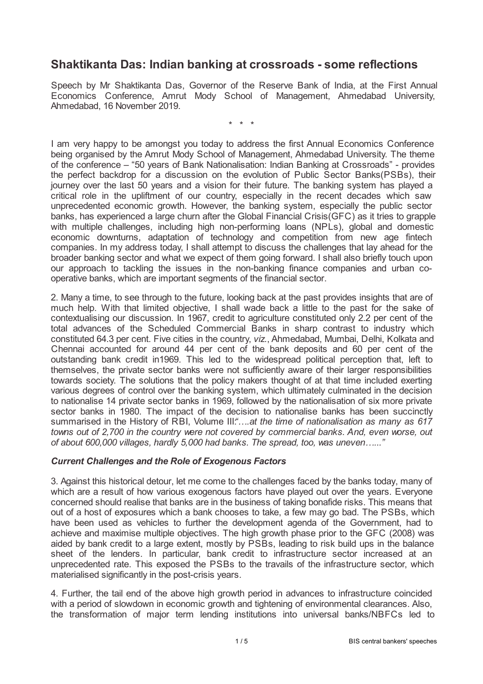# **Shaktikanta Das: Indian banking at crossroads - some reflections**

Speech by Mr Shaktikanta Das, Governor of the Reserve Bank of India, at the First Annual Economics Conference, Amrut Mody School of Management, Ahmedabad University, Ahmedabad, 16 November 2019.

\* \* \*

I am very happy to be amongst you today to address the first Annual Economics Conference being organised by the Amrut Mody School of Management, Ahmedabad University. The theme of the conference – "50 years of Bank Nationalisation: Indian Banking at Crossroads" - provides the perfect backdrop for a discussion on the evolution of Public Sector Banks(PSBs), their journey over the last 50 years and a vision for their future. The banking system has played a critical role in the upliftment of our country, especially in the recent decades which saw unprecedented economic growth. However, the banking system, especially the public sector banks, has experienced a large churn after the Global Financial Crisis(GFC) as it tries to grapple with multiple challenges, including high non-performing loans (NPLs), global and domestic economic downturns, adaptation of technology and competition from new age fintech companies. In my address today, I shall attempt to discuss the challenges that lay ahead for the broader banking sector and what we expect of them going forward. I shall also briefly touch upon our approach to tackling the issues in the non-banking finance companies and urban cooperative banks, which are important segments of the financial sector.

2. Many a time, to see through to the future, looking back at the past provides insights that are of much help. With that limited objective, I shall wade back a little to the past for the sake of contextualising our discussion. In 1967, credit to agriculture constituted only 2.2 per cent of the total advances of the Scheduled Commercial Banks in sharp contrast to industry which constituted 64.3 per cent. Five cities in the country, *viz.*, Ahmedabad, Mumbai, Delhi, Kolkata and Chennai accounted for around 44 per cent of the bank deposits and 60 per cent of the outstanding bank credit in1969. This led to the widespread political perception that, left to themselves, the private sector banks were not sufficiently aware of their larger responsibilities towards society. The solutions that the policy makers thought of at that time included exerting various degrees of control over the banking system, which ultimately culminated in the decision to nationalise 14 private sector banks in 1969, followed by the nationalisation of six more private sector banks in 1980. The impact of the decision to nationalise banks has been succinctly summarised in the History of RBI, Volume III:*"….at the time of nationalisation as many as 617 towns out of 2,700 in the country were not covered by commercial banks. And, even worse, out of about 600,000 villages, hardly 5,000 had banks. The spread, too, was uneven…..."*

### *Current Challenges and the Role of Exogenous Factors*

3. Against this historical detour, let me come to the challenges faced by the banks today, many of which are a result of how various exogenous factors have played out over the years. Everyone concerned should realise that banks are in the business of taking bonafide risks. This means that out of a host of exposures which a bank chooses to take, a few may go bad. The PSBs, which have been used as vehicles to further the development agenda of the Government, had to achieve and maximise multiple objectives. The high growth phase prior to the GFC (2008) was aided by bank credit to a large extent, mostly by PSBs, leading to risk build ups in the balance sheet of the lenders. In particular, bank credit to infrastructure sector increased at an unprecedented rate. This exposed the PSBs to the travails of the infrastructure sector, which materialised significantly in the post-crisis years.

4. Further, the tail end of the above high growth period in advances to infrastructure coincided with a period of slowdown in economic growth and tightening of environmental clearances. Also, the transformation of major term lending institutions into universal banks/NBFCs led to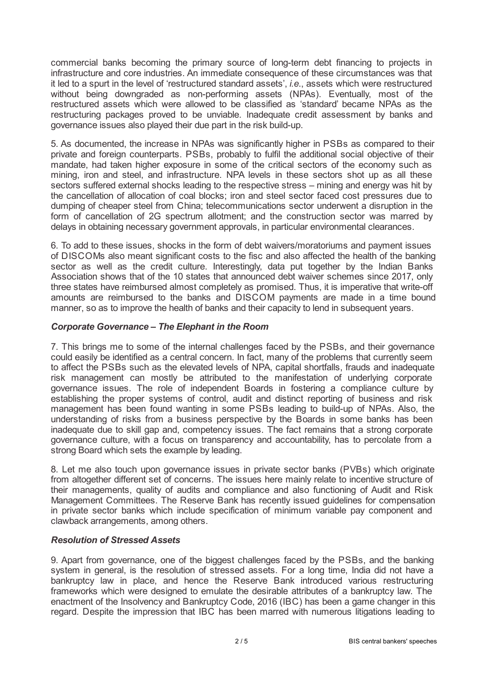commercial banks becoming the primary source of long-term debt financing to projects in infrastructure and core industries. An immediate consequence of these circumstances was that it led to a spurt in the level of 'restructured standard assets', *i.e*., assets which were restructured without being downgraded as non-performing assets (NPAs). Eventually, most of the restructured assets which were allowed to be classified as 'standard' became NPAs as the restructuring packages proved to be unviable. Inadequate credit assessment by banks and governance issues also played their due part in the risk build-up.

5. As documented, the increase in NPAs was significantly higher in PSBs as compared to their private and foreign counterparts. PSBs, probably to fulfil the additional social objective of their mandate, had taken higher exposure in some of the critical sectors of the economy such as mining, iron and steel, and infrastructure. NPA levels in these sectors shot up as all these sectors suffered external shocks leading to the respective stress – mining and energy was hit by the cancellation of allocation of coal blocks; iron and steel sector faced cost pressures due to dumping of cheaper steel from China; telecommunications sector underwent a disruption in the form of cancellation of 2G spectrum allotment; and the construction sector was marred by delays in obtaining necessary government approvals, in particular environmental clearances.

6. To add to these issues, shocks in the form of debt waivers/moratoriums and payment issues of DISCOMs also meant significant costs to the fisc and also affected the health of the banking sector as well as the credit culture. Interestingly, data put together by the Indian Banks Association shows that of the 10 states that announced debt waiver schemes since 2017, only three states have reimbursed almost completely as promised. Thus, it is imperative that write-off amounts are reimbursed to the banks and DISCOM payments are made in a time bound manner, so as to improve the health of banks and their capacity to lend in subsequent years.

## *Corporate Governance – The Elephant in the Room*

7. This brings me to some of the internal challenges faced by the PSBs, and their governance could easily be identified as a central concern. In fact, many of the problems that currently seem to affect the PSBs such as the elevated levels of NPA, capital shortfalls, frauds and inadequate risk management can mostly be attributed to the manifestation of underlying corporate governance issues. The role of independent Boards in fostering a compliance culture by establishing the proper systems of control, audit and distinct reporting of business and risk management has been found wanting in some PSBs leading to build-up of NPAs. Also, the understanding of risks from a business perspective by the Boards in some banks has been inadequate due to skill gap and, competency issues. The fact remains that a strong corporate governance culture, with a focus on transparency and accountability, has to percolate from a strong Board which sets the example by leading.

8. Let me also touch upon governance issues in private sector banks (PVBs) which originate from altogether different set of concerns. The issues here mainly relate to incentive structure of their managements, quality of audits and compliance and also functioning of Audit and Risk Management Committees. The Reserve Bank has recently issued guidelines for compensation in private sector banks which include specification of minimum variable pay component and clawback arrangements, among others.

## *Resolution of Stressed Assets*

9. Apart from governance, one of the biggest challenges faced by the PSBs, and the banking system in general, is the resolution of stressed assets. For a long time, India did not have a bankruptcy law in place, and hence the Reserve Bank introduced various restructuring frameworks which were designed to emulate the desirable attributes of a bankruptcy law. The enactment of the Insolvency and Bankruptcy Code, 2016 (IBC) has been a game changer in this regard. Despite the impression that IBC has been marred with numerous litigations leading to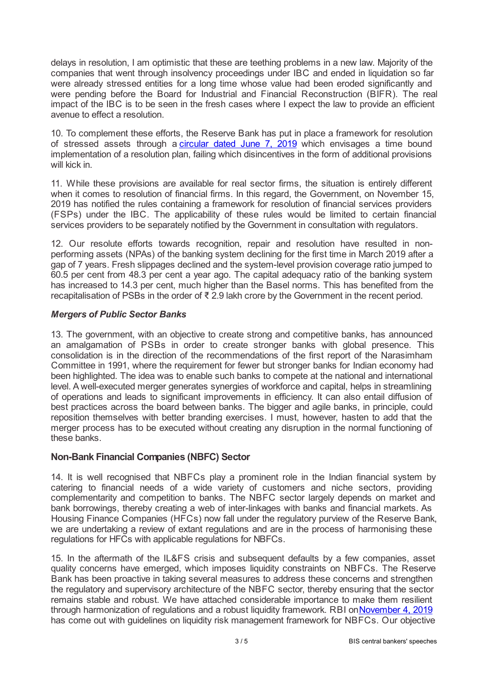delays in resolution, I am optimistic that these are teething problems in a new law. Majority of the companies that went through insolvency proceedings under IBC and ended in liquidation so far were already stressed entities for a long time whose value had been eroded significantly and were pending before the Board for Industrial and Financial Reconstruction (BIFR). The real impact of the IBC is to be seen in the fresh cases where I expect the law to provide an efficient avenue to effect a resolution.

10. To complement these efforts, the Reserve Bank has put in place a framework for resolution of stressed assets through a *[circular](www.rbi.org.in/Scripts/NotificationUser.aspx?Id=11580&Mode=0) dated June 7, 2019* which envisages a time bound implementation of a resolution plan, failing which disincentives in the form of additional provisions will kick in.

11. While these provisions are available for real sector firms, the situation is entirely different when it comes to resolution of financial firms. In this regard, the Government, on November 15, 2019 has notified the rules containing a framework for resolution of financial services providers (FSPs) under the IBC. The applicability of these rules would be limited to certain financial services providers to be separately notified by the Government in consultation with regulators.

12. Our resolute efforts towards recognition, repair and resolution have resulted in nonperforming assets (NPAs) of the banking system declining for the first time in March 2019 after a gap of 7 years. Fresh slippages declined and the system-level provision coverage ratio jumped to 60.5 per cent from 48.3 per cent a year ago. The capital adequacy ratio of the banking system has increased to 14.3 per cent, much higher than the Basel norms. This has benefited from the recapitalisation of PSBs in the order of ₹ 2.9 lakh crore by the Government in the recent period.

## *Mergers of Public Sector Banks*

13. The government, with an objective to create strong and competitive banks, has announced an amalgamation of PSBs in order to create stronger banks with global presence. This consolidation is in the direction of the recommendations of the first report of the Narasimham Committee in 1991, where the requirement for fewer but stronger banks for Indian economy had been highlighted. The idea was to enable such banks to compete at the national and international level. A well-executed merger generates synergies of workforce and capital, helps in streamlining of operations and leads to significant improvements in efficiency. It can also entail diffusion of best practices across the board between banks. The bigger and agile banks, in principle, could reposition themselves with better branding exercises. I must, however, hasten to add that the merger process has to be executed without creating any disruption in the normal functioning of these banks.

## **Non-Bank Financial Companies (NBFC) Sector**

14. It is well recognised that NBFCs play a prominent role in the Indian financial system by catering to financial needs of a wide variety of customers and niche sectors, providing complementarity and competition to banks. The NBFC sector largely depends on market and bank borrowings, thereby creating a web of inter-linkages with banks and financial markets. As Housing Finance Companies (HFCs) now fall under the regulatory purview of the Reserve Bank, we are undertaking a review of extant regulations and are in the process of harmonising these regulations for HFCs with applicable regulations for NBFCs.

15. In the aftermath of the IL&FS crisis and subsequent defaults by a few companies, asset quality concerns have emerged, which imposes liquidity constraints on NBFCs. The Reserve Bank has been proactive in taking several measures to address these concerns and strengthen the regulatory and supervisory architecture of the NBFC sector, thereby ensuring that the sector remains stable and robust. We have attached considerable importance to make them resilient through harmonization of regulations and a robust liquidity framework. RBI on[November](www.rbi.org.in/Scripts/NotificationUser.aspx?Id=11719&Mode=0) 4, 2019 has come out with guidelines on liquidity risk management framework for NBFCs. Our objective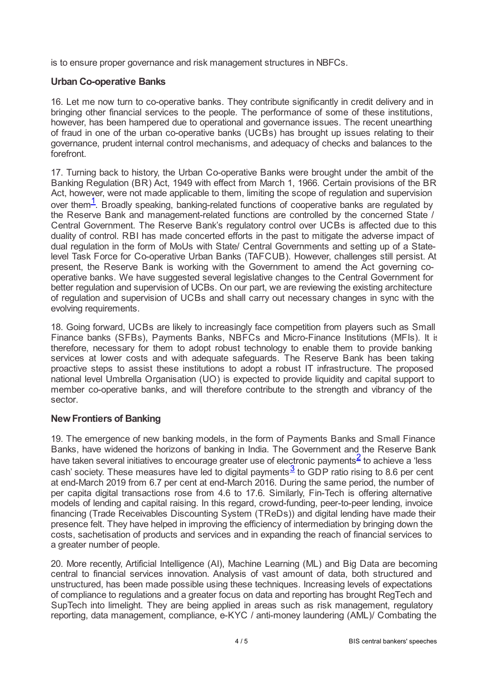is to ensure proper governance and risk management structures in NBFCs.

## **Urban Co-operative Banks**

16. Let me now turn to co-operative banks. They contribute significantly in credit delivery and in bringing other financial services to the people. The performance of some of these institutions, however, has been hampered due to operational and governance issues. The recent unearthing of fraud in one of the urban co-operative banks (UCBs) has brought up issues relating to their governance, prudent internal control mechanisms, and adequacy of checks and balances to the forefront.

<span id="page-3-0"></span>17. Turning back to history, the Urban Co-operative Banks were brought under the ambit of the Banking Regulation (BR) Act, 1949 with effect from March 1, 1966. Certain provisions of the BR Act, however, were not made applicable to them, limiting the scope of regulation and supervision over them<sup>[1](#page-4-0)</sup>. Broadly speaking, banking-related functions of cooperative banks are regulated by the Reserve Bank and management-related functions are controlled by the concerned State / Central Government. The Reserve Bank's regulatory control over UCBs is affected due to this duality of control. RBI has made concerted efforts in the past to mitigate the adverse impact of dual regulation in the form of MoUs with State/ Central Governments and setting up of a Statelevel Task Force for Co-operative Urban Banks (TAFCUB). However, challenges still persist. At present, the Reserve Bank is working with the Government to amend the Act governing cooperative banks. We have suggested several legislative changes to the Central Government for better regulation and supervision of UCBs. On our part, we are reviewing the existing architecture of regulation and supervision of UCBs and shall carry out necessary changes in sync with the evolving requirements.

18. Going forward, UCBs are likely to increasingly face competition from players such as Small Finance banks (SFBs), Payments Banks, NBFCs and Micro-Finance Institutions (MFIs). It is, therefore, necessary for them to adopt robust technology to enable them to provide banking services at lower costs and with adequate safeguards. The Reserve Bank has been taking proactive steps to assist these institutions to adopt a robust IT infrastructure. The proposed national level Umbrella Organisation (UO) is expected to provide liquidity and capital support to member co-operative banks, and will therefore contribute to the strength and vibrancy of the sector.

## **NewFrontiers of Banking**

<span id="page-3-2"></span><span id="page-3-1"></span>19. The emergence of new banking models, in the form of Payments Banks and Small Finance Banks, have widened the horizons of banking in India. The Government and the Reserve Bank have taken several initiatives to encourage greater use of electronic payments<sup>[2](#page-4-1)</sup> to achieve a 'less cash' society. These measures have led to digital payments $\frac{3}{2}$  $\frac{3}{2}$  $\frac{3}{2}$  to GDP ratio rising to 8.6 per cent at end-March 2019 from 6.7 per cent at end-March 2016. During the same period, the number of per capita digital transactions rose from 4.6 to 17.6. Similarly, Fin-Tech is offering alternative models of lending and capital raising. In this regard, crowd-funding, peer-to-peer lending, invoice financing (Trade Receivables Discounting System (TReDs)) and digital lending have made their presence felt. They have helped in improving the efficiency of intermediation by bringing down the costs, sachetisation of products and services and in expanding the reach of financial services to a greater number of people.

20. More recently, Artificial Intelligence (AI), Machine Learning (ML) and Big Data are becoming central to financial services innovation. Analysis of vast amount of data, both structured and unstructured, has been made possible using these techniques. Increasing levels of expectations of compliance to regulations and a greater focus on data and reporting has brought RegTech and SupTech into limelight. They are being applied in areas such as risk management, regulatory reporting, data management, compliance, e-KYC / anti-money laundering (AML)/ Combating the